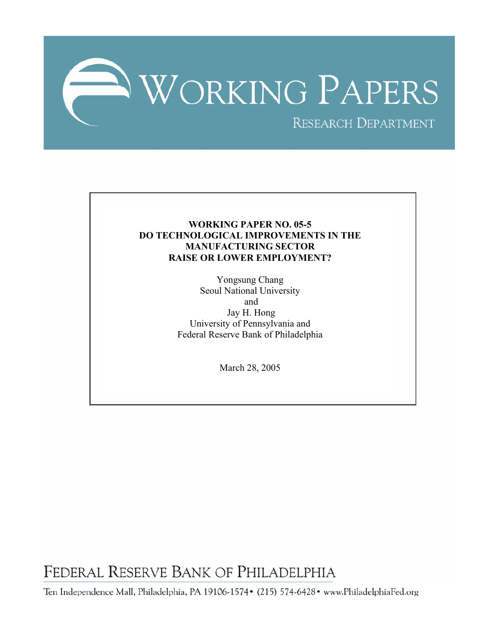

# **WORKING PAPER NO. 05-5 DO TECHNOLOGICAL IMPROVEMENTS IN THE MANUFACTURING SECTOR RAISE OR LOWER EMPLOYMENT?**

Yongsung Chang Seoul National University and Jay H. Hong University of Pennsylvania and Federal Reserve Bank of Philadelphia

March 28, 2005

FEDERAL RESERVE BANK OF PHILADELPHIA

Ten Independence Mall, Philadelphia, PA 19106-1574• (215) 574-6428• www.PhiladelphiaFed.org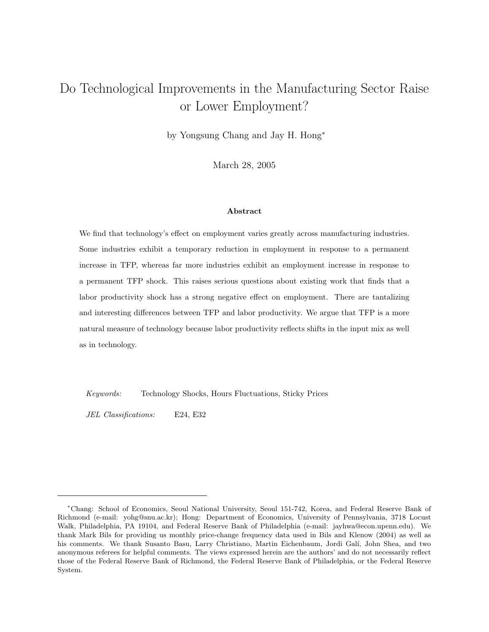# Do Technological Improvements in the Manufacturing Sector Raise or Lower Employment?

by Yongsung Chang and Jay H. Hong<sup>∗</sup>

March 28, 2005

# Abstract

We find that technology's effect on employment varies greatly across manufacturing industries. Some industries exhibit a temporary reduction in employment in response to a permanent increase in TFP, whereas far more industries exhibit an employment increase in response to a permanent TFP shock. This raises serious questions about existing work that finds that a labor productivity shock has a strong negative effect on employment. There are tantalizing and interesting differences between TFP and labor productivity. We argue that TFP is a more natural measure of technology because labor productivity reflects shifts in the input mix as well as in technology.

Keywords: Technology Shocks, Hours Fluctuations, Sticky Prices

JEL Classifications: E24, E32

<sup>∗</sup>Chang: School of Economics, Seoul National University, Seoul 151-742, Korea, and Federal Reserve Bank of Richmond (e-mail: yohg@snu.ac.kr); Hong: Department of Economics, University of Pennsylvania, 3718 Locust Walk, Philadelphia, PA 19104, and Federal Reserve Bank of Philadelphia (e-mail: jayhwa@econ.upenn.edu). We thank Mark Bils for providing us monthly price-change frequency data used in Bils and Klenow (2004) as well as his comments. We thank Susanto Basu, Larry Christiano, Martin Eichenbaum, Jordi Galí, John Shea, and two anonymous referees for helpful comments. The views expressed herein are the authors' and do not necessarily reflect those of the Federal Reserve Bank of Richmond, the Federal Reserve Bank of Philadelphia, or the Federal Reserve System.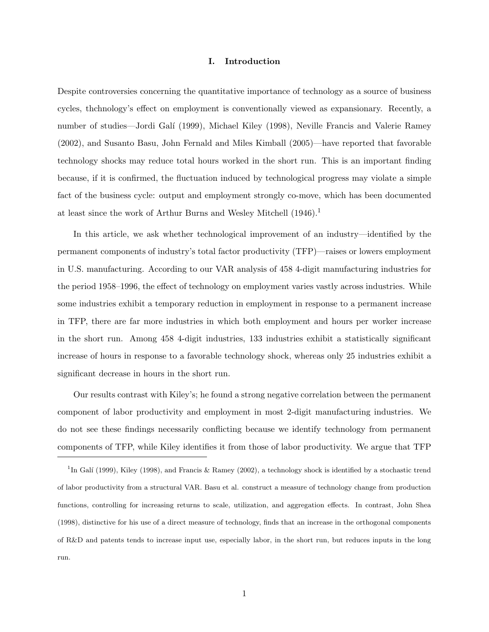# I. Introduction

Despite controversies concerning the quantitative importance of technology as a source of business cycles, thchnology's effect on employment is conventionally viewed as expansionary. Recently, a number of studies—Jordi Galí (1999), Michael Kiley (1998), Neville Francis and Valerie Ramey (2002), and Susanto Basu, John Fernald and Miles Kimball (2005)—have reported that favorable technology shocks may reduce total hours worked in the short run. This is an important finding because, if it is confirmed, the fluctuation induced by technological progress may violate a simple fact of the business cycle: output and employment strongly co-move, which has been documented at least since the work of Arthur Burns and Wesley Mitchell  $(1946).<sup>1</sup>$ 

In this article, we ask whether technological improvement of an industry—identified by the permanent components of industry's total factor productivity (TFP)—raises or lowers employment in U.S. manufacturing. According to our VAR analysis of 458 4-digit manufacturing industries for the period 1958–1996, the effect of technology on employment varies vastly across industries. While some industries exhibit a temporary reduction in employment in response to a permanent increase in TFP, there are far more industries in which both employment and hours per worker increase in the short run. Among 458 4-digit industries, 133 industries exhibit a statistically significant increase of hours in response to a favorable technology shock, whereas only 25 industries exhibit a significant decrease in hours in the short run.

Our results contrast with Kiley's; he found a strong negative correlation between the permanent component of labor productivity and employment in most 2-digit manufacturing industries. We do not see these findings necessarily conflicting because we identify technology from permanent components of TFP, while Kiley identifies it from those of labor productivity. We argue that TFP

<sup>&</sup>lt;sup>1</sup>In Galí (1999), Kiley (1998), and Francis & Ramey (2002), a technology shock is identified by a stochastic trend of labor productivity from a structural VAR. Basu et al. construct a measure of technology change from production functions, controlling for increasing returns to scale, utilization, and aggregation effects. In contrast, John Shea (1998), distinctive for his use of a direct measure of technology, finds that an increase in the orthogonal components of R&D and patents tends to increase input use, especially labor, in the short run, but reduces inputs in the long run.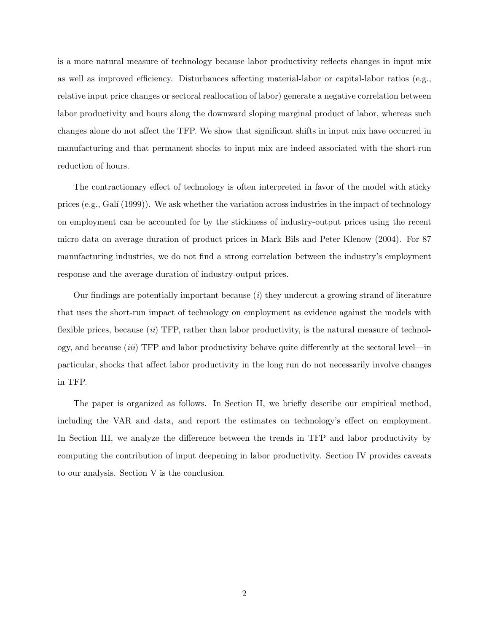is a more natural measure of technology because labor productivity reflects changes in input mix as well as improved efficiency. Disturbances affecting material-labor or capital-labor ratios (e.g., relative input price changes or sectoral reallocation of labor) generate a negative correlation between labor productivity and hours along the downward sloping marginal product of labor, whereas such changes alone do not affect the TFP. We show that significant shifts in input mix have occurred in manufacturing and that permanent shocks to input mix are indeed associated with the short-run reduction of hours.

The contractionary effect of technology is often interpreted in favor of the model with sticky prices (e.g., Galí  $(1999)$ ). We ask whether the variation across industries in the impact of technology on employment can be accounted for by the stickiness of industry-output prices using the recent micro data on average duration of product prices in Mark Bils and Peter Klenow (2004). For 87 manufacturing industries, we do not find a strong correlation between the industry's employment response and the average duration of industry-output prices.

Our findings are potentially important because  $(i)$  they undercut a growing strand of literature that uses the short-run impact of technology on employment as evidence against the models with flexible prices, because  $(ii)$  TFP, rather than labor productivity, is the natural measure of technology, and because *(iii)* TFP and labor productivity behave quite differently at the sectoral level—in particular, shocks that affect labor productivity in the long run do not necessarily involve changes in TFP.

The paper is organized as follows. In Section II, we briefly describe our empirical method, including the VAR and data, and report the estimates on technology's effect on employment. In Section III, we analyze the difference between the trends in TFP and labor productivity by computing the contribution of input deepening in labor productivity. Section IV provides caveats to our analysis. Section V is the conclusion.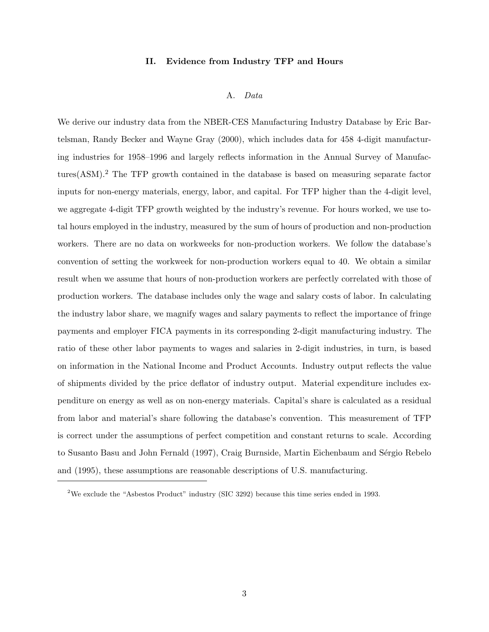# II. Evidence from Industry TFP and Hours

#### A. Data

We derive our industry data from the NBER-CES Manufacturing Industry Database by Eric Bartelsman, Randy Becker and Wayne Gray (2000), which includes data for 458 4-digit manufacturing industries for 1958–1996 and largely reflects information in the Annual Survey of Manufactures(ASM).<sup>2</sup> The TFP growth contained in the database is based on measuring separate factor inputs for non-energy materials, energy, labor, and capital. For TFP higher than the 4-digit level, we aggregate 4-digit TFP growth weighted by the industry's revenue. For hours worked, we use total hours employed in the industry, measured by the sum of hours of production and non-production workers. There are no data on workweeks for non-production workers. We follow the database's convention of setting the workweek for non-production workers equal to 40. We obtain a similar result when we assume that hours of non-production workers are perfectly correlated with those of production workers. The database includes only the wage and salary costs of labor. In calculating the industry labor share, we magnify wages and salary payments to reflect the importance of fringe payments and employer FICA payments in its corresponding 2-digit manufacturing industry. The ratio of these other labor payments to wages and salaries in 2-digit industries, in turn, is based on information in the National Income and Product Accounts. Industry output reflects the value of shipments divided by the price deflator of industry output. Material expenditure includes expenditure on energy as well as on non-energy materials. Capital's share is calculated as a residual from labor and material's share following the database's convention. This measurement of TFP is correct under the assumptions of perfect competition and constant returns to scale. According to Susanto Basu and John Fernald (1997), Craig Burnside, Martin Eichenbaum and Sérgio Rebelo and (1995), these assumptions are reasonable descriptions of U.S. manufacturing.

<sup>2</sup>We exclude the "Asbestos Product" industry (SIC 3292) because this time series ended in 1993.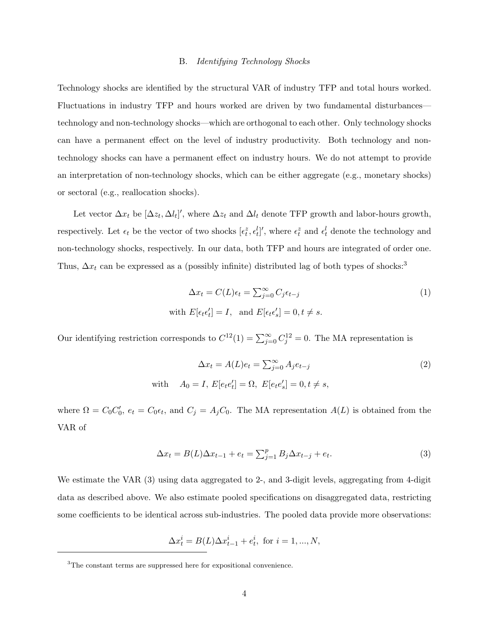### B. Identifying Technology Shocks

Technology shocks are identified by the structural VAR of industry TFP and total hours worked. Fluctuations in industry TFP and hours worked are driven by two fundamental disturbances technology and non-technology shocks—which are orthogonal to each other. Only technology shocks can have a permanent effect on the level of industry productivity. Both technology and nontechnology shocks can have a permanent effect on industry hours. We do not attempt to provide an interpretation of non-technology shocks, which can be either aggregate (e.g., monetary shocks) or sectoral (e.g., reallocation shocks).

Let vector  $\Delta x_t$  be  $[\Delta z_t, \Delta l_t]'$ , where  $\Delta z_t$  and  $\Delta l_t$  denote TFP growth and labor-hours growth, respectively. Let  $\epsilon_t$  be the vector of two shocks  $[\epsilon_t^z, \epsilon_t^l]'$ , where  $\epsilon_t^z$  and  $\epsilon_t^l$  denote the technology and non-technology shocks, respectively. In our data, both TFP and hours are integrated of order one. Thus,  $\Delta x_t$  can be expressed as a (possibly infinite) distributed lag of both types of shocks:<sup>3</sup>

$$
\Delta x_t = C(L)\epsilon_t = \sum_{j=0}^{\infty} C_j \epsilon_{t-j}
$$
  
with  $E[\epsilon_t \epsilon'_t] = I$ , and  $E[\epsilon_t \epsilon'_s] = 0, t \neq s$ . (1)

Our identifying restriction corresponds to  $C^{12}(1) = \sum_{j=0}^{\infty} C_j^{12} = 0$ . The MA representation is

$$
\Delta x_t = A(L)e_t = \sum_{j=0}^{\infty} A_j e_{t-j}
$$
  
\nwith 
$$
A_0 = I, E[e_t e'_t] = \Omega, E[e_t e'_s] = 0, t \neq s,
$$
\n(2)

where  $\Omega = C_0 C'_0$ ,  $e_t = C_0 \epsilon_t$ , and  $C_j = A_j C_0$ . The MA representation  $A(L)$  is obtained from the VAR of

$$
\Delta x_t = B(L)\Delta x_{t-1} + e_t = \sum_{j=1}^p B_j \Delta x_{t-j} + e_t.
$$
\n(3)

We estimate the VAR  $(3)$  using data aggregated to 2-, and 3-digit levels, aggregating from 4-digit data as described above. We also estimate pooled specifications on disaggregated data, restricting some coefficients to be identical across sub-industries. The pooled data provide more observations:

$$
\Delta x^i_t=B(L)\Delta x^i_{t-1}+e^i_t, \text{ for } i=1,...,N,
$$

<sup>3</sup>The constant terms are suppressed here for expositional convenience.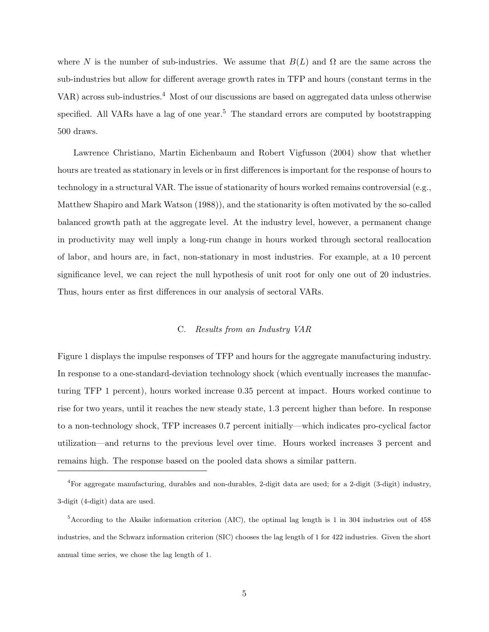where N is the number of sub-industries. We assume that  $B(L)$  and  $\Omega$  are the same across the sub-industries but allow for different average growth rates in TFP and hours (constant terms in the VAR) across sub-industries.<sup>4</sup> Most of our discussions are based on aggregated data unless otherwise specified. All VARs have a lag of one year.<sup>5</sup> The standard errors are computed by bootstrapping 500 draws.

Lawrence Christiano, Martin Eichenbaum and Robert Vigfusson (2004) show that whether hours are treated as stationary in levels or in first differences is important for the response of hours to technology in a structural VAR. The issue of stationarity of hours worked remains controversial (e.g., Matthew Shapiro and Mark Watson (1988)), and the stationarity is often motivated by the so-called balanced growth path at the aggregate level. At the industry level, however, a permanent change in productivity may well imply a long-run change in hours worked through sectoral reallocation of labor, and hours are, in fact, non-stationary in most industries. For example, at a 10 percent significance level, we can reject the null hypothesis of unit root for only one out of 20 industries. Thus, hours enter as first differences in our analysis of sectoral VARs.

# C. Results from an Industry VAR

Figure 1 displays the impulse responses of TFP and hours for the aggregate manufacturing industry. In response to a one-standard-deviation technology shock (which eventually increases the manufacturing TFP 1 percent), hours worked increase 0.35 percent at impact. Hours worked continue to rise for two years, until it reaches the new steady state, 1.3 percent higher than before. In response to a non-technology shock, TFP increases 0.7 percent initially—which indicates pro-cyclical factor utilization—and returns to the previous level over time. Hours worked increases 3 percent and remains high. The response based on the pooled data shows a similar pattern.

<sup>4</sup>For aggregate manufacturing, durables and non-durables, 2-digit data are used; for a 2-digit (3-digit) industry, 3-digit (4-digit) data are used.

 $5$ According to the Akaike information criterion (AIC), the optimal lag length is 1 in 304 industries out of 458 industries, and the Schwarz information criterion (SIC) chooses the lag length of 1 for 422 industries. Given the short annual time series, we chose the lag length of 1.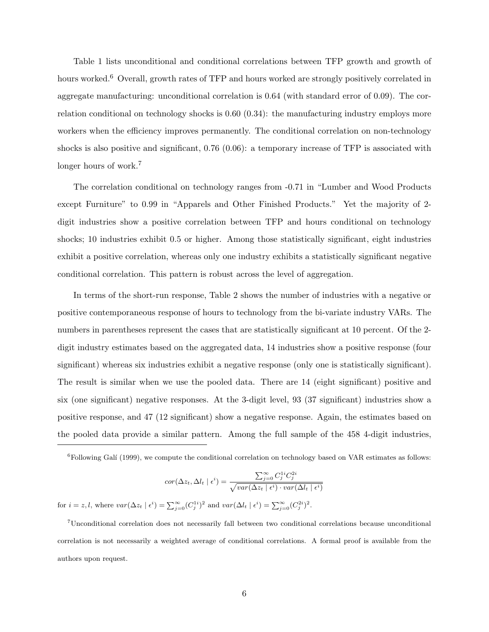Table 1 lists unconditional and conditional correlations between TFP growth and growth of hours worked.<sup>6</sup> Overall, growth rates of TFP and hours worked are strongly positively correlated in aggregate manufacturing: unconditional correlation is 0.64 (with standard error of 0.09). The correlation conditional on technology shocks is 0.60 (0.34): the manufacturing industry employs more workers when the efficiency improves permanently. The conditional correlation on non-technology shocks is also positive and significant, 0.76 (0.06): a temporary increase of TFP is associated with longer hours of work.<sup>7</sup>

The correlation conditional on technology ranges from -0.71 in "Lumber and Wood Products except Furniture" to 0.99 in "Apparels and Other Finished Products." Yet the majority of 2 digit industries show a positive correlation between TFP and hours conditional on technology shocks; 10 industries exhibit 0.5 or higher. Among those statistically significant, eight industries exhibit a positive correlation, whereas only one industry exhibits a statistically significant negative conditional correlation. This pattern is robust across the level of aggregation.

In terms of the short-run response, Table 2 shows the number of industries with a negative or positive contemporaneous response of hours to technology from the bi-variate industry VARs. The numbers in parentheses represent the cases that are statistically significant at 10 percent. Of the 2 digit industry estimates based on the aggregated data, 14 industries show a positive response (four significant) whereas six industries exhibit a negative response (only one is statistically significant). The result is similar when we use the pooled data. There are 14 (eight significant) positive and six (one significant) negative responses. At the 3-digit level, 93 (37 significant) industries show a positive response, and 47 (12 significant) show a negative response. Again, the estimates based on the pooled data provide a similar pattern. Among the full sample of the 458 4-digit industries,

 ${}^{6}$ Following Galí (1999), we compute the conditional correlation on technology based on VAR estimates as follows:

$$
cor(\Delta z_t, \Delta l_t \mid \epsilon^i) = \frac{\sum_{j=0}^{\infty} C_j^{1i} C_j^{2i}}{\sqrt{var(\Delta z_t \mid \epsilon^i) \cdot var(\Delta l_t \mid \epsilon^i)}}
$$

for  $i = z, l$ , where  $var(\Delta z_t | \epsilon^i) = \sum_{j=0}^{\infty} (C_j^{1i})^2$  and  $var(\Delta l_t | \epsilon^i) = \sum_{j=0}^{\infty} (C_j^{2i})^2$ .

<sup>7</sup>Unconditional correlation does not necessarily fall between two conditional correlations because unconditional correlation is not necessarily a weighted average of conditional correlations. A formal proof is available from the authors upon request.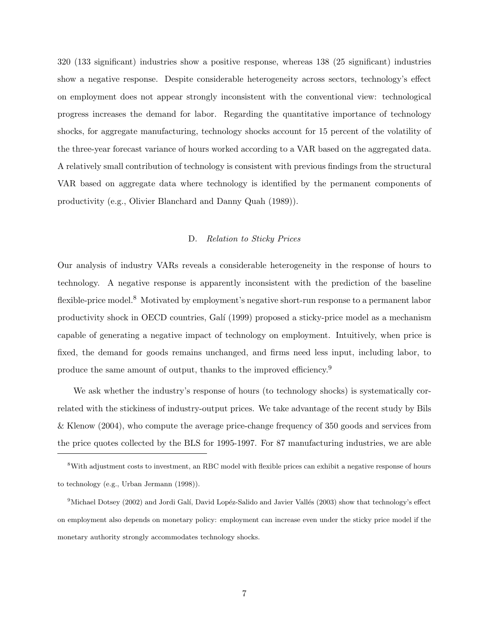320 (133 significant) industries show a positive response, whereas 138 (25 significant) industries show a negative response. Despite considerable heterogeneity across sectors, technology's effect on employment does not appear strongly inconsistent with the conventional view: technological progress increases the demand for labor. Regarding the quantitative importance of technology shocks, for aggregate manufacturing, technology shocks account for 15 percent of the volatility of the three-year forecast variance of hours worked according to a VAR based on the aggregated data. A relatively small contribution of technology is consistent with previous findings from the structural VAR based on aggregate data where technology is identified by the permanent components of productivity (e.g., Olivier Blanchard and Danny Quah (1989)).

#### D. Relation to Sticky Prices

Our analysis of industry VARs reveals a considerable heterogeneity in the response of hours to technology. A negative response is apparently inconsistent with the prediction of the baseline flexible-price model.<sup>8</sup> Motivated by employment's negative short-run response to a permanent labor productivity shock in OECD countries, Gal´ı (1999) proposed a sticky-price model as a mechanism capable of generating a negative impact of technology on employment. Intuitively, when price is fixed, the demand for goods remains unchanged, and firms need less input, including labor, to produce the same amount of output, thanks to the improved efficiency.<sup>9</sup>

We ask whether the industry's response of hours (to technology shocks) is systematically correlated with the stickiness of industry-output prices. We take advantage of the recent study by Bils & Klenow (2004), who compute the average price-change frequency of 350 goods and services from the price quotes collected by the BLS for 1995-1997. For 87 manufacturing industries, we are able

<sup>8</sup>With adjustment costs to investment, an RBC model with flexible prices can exhibit a negative response of hours to technology (e.g., Urban Jermann (1998)).

<sup>&</sup>lt;sup>9</sup>Michael Dotsey (2002) and Jordi Galí, David Lopéz-Salido and Javier Vallés (2003) show that technology's effect on employment also depends on monetary policy: employment can increase even under the sticky price model if the monetary authority strongly accommodates technology shocks.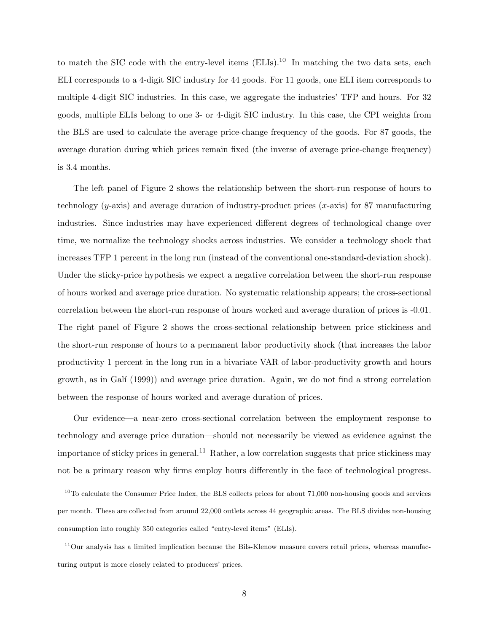to match the SIC code with the entry-level items  $(ELIs).<sup>10</sup>$  In matching the two data sets, each ELI corresponds to a 4-digit SIC industry for 44 goods. For 11 goods, one ELI item corresponds to multiple 4-digit SIC industries. In this case, we aggregate the industries' TFP and hours. For 32 goods, multiple ELIs belong to one 3- or 4-digit SIC industry. In this case, the CPI weights from the BLS are used to calculate the average price-change frequency of the goods. For 87 goods, the average duration during which prices remain fixed (the inverse of average price-change frequency) is 3.4 months.

The left panel of Figure 2 shows the relationship between the short-run response of hours to technology  $(y\text{-axis})$  and average duration of industry-product prices  $(x\text{-axis})$  for 87 manufacturing industries. Since industries may have experienced different degrees of technological change over time, we normalize the technology shocks across industries. We consider a technology shock that increases TFP 1 percent in the long run (instead of the conventional one-standard-deviation shock). Under the sticky-price hypothesis we expect a negative correlation between the short-run response of hours worked and average price duration. No systematic relationship appears; the cross-sectional correlation between the short-run response of hours worked and average duration of prices is -0.01. The right panel of Figure 2 shows the cross-sectional relationship between price stickiness and the short-run response of hours to a permanent labor productivity shock (that increases the labor productivity 1 percent in the long run in a bivariate VAR of labor-productivity growth and hours growth, as in Galí  $(1999)$  and average price duration. Again, we do not find a strong correlation between the response of hours worked and average duration of prices.

Our evidence—a near-zero cross-sectional correlation between the employment response to technology and average price duration—should not necessarily be viewed as evidence against the importance of sticky prices in general.<sup>11</sup> Rather, a low correlation suggests that price stickiness may not be a primary reason why firms employ hours differently in the face of technological progress.

 $10$ To calculate the Consumer Price Index, the BLS collects prices for about 71,000 non-housing goods and services per month. These are collected from around 22,000 outlets across 44 geographic areas. The BLS divides non-housing consumption into roughly 350 categories called "entry-level items" (ELIs).

 $11$ Our analysis has a limited implication because the Bils-Klenow measure covers retail prices, whereas manufacturing output is more closely related to producers' prices.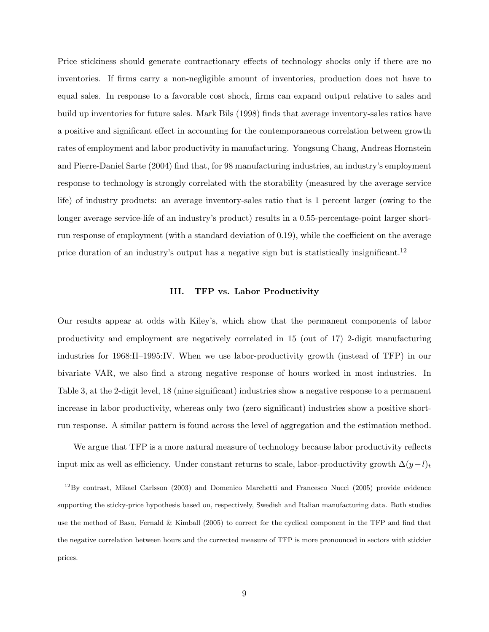Price stickiness should generate contractionary effects of technology shocks only if there are no inventories. If firms carry a non-negligible amount of inventories, production does not have to equal sales. In response to a favorable cost shock, firms can expand output relative to sales and build up inventories for future sales. Mark Bils (1998) finds that average inventory-sales ratios have a positive and significant effect in accounting for the contemporaneous correlation between growth rates of employment and labor productivity in manufacturing. Yongsung Chang, Andreas Hornstein and Pierre-Daniel Sarte (2004) find that, for 98 manufacturing industries, an industry's employment response to technology is strongly correlated with the storability (measured by the average service life) of industry products: an average inventory-sales ratio that is 1 percent larger (owing to the longer average service-life of an industry's product) results in a 0.55-percentage-point larger shortrun response of employment (with a standard deviation of 0.19), while the coefficient on the average price duration of an industry's output has a negative sign but is statistically insignificant.<sup>12</sup>

# III. TFP vs. Labor Productivity

Our results appear at odds with Kiley's, which show that the permanent components of labor productivity and employment are negatively correlated in 15 (out of 17) 2-digit manufacturing industries for 1968:II–1995:IV. When we use labor-productivity growth (instead of TFP) in our bivariate VAR, we also find a strong negative response of hours worked in most industries. In Table 3, at the 2-digit level, 18 (nine significant) industries show a negative response to a permanent increase in labor productivity, whereas only two (zero significant) industries show a positive shortrun response. A similar pattern is found across the level of aggregation and the estimation method.

We argue that TFP is a more natural measure of technology because labor productivity reflects input mix as well as efficiency. Under constant returns to scale, labor-productivity growth  $\Delta(y-l)_t$ 

<sup>12</sup>By contrast, Mikael Carlsson (2003) and Domenico Marchetti and Francesco Nucci (2005) provide evidence supporting the sticky-price hypothesis based on, respectively, Swedish and Italian manufacturing data. Both studies use the method of Basu, Fernald  $&$  Kimball (2005) to correct for the cyclical component in the TFP and find that the negative correlation between hours and the corrected measure of TFP is more pronounced in sectors with stickier prices.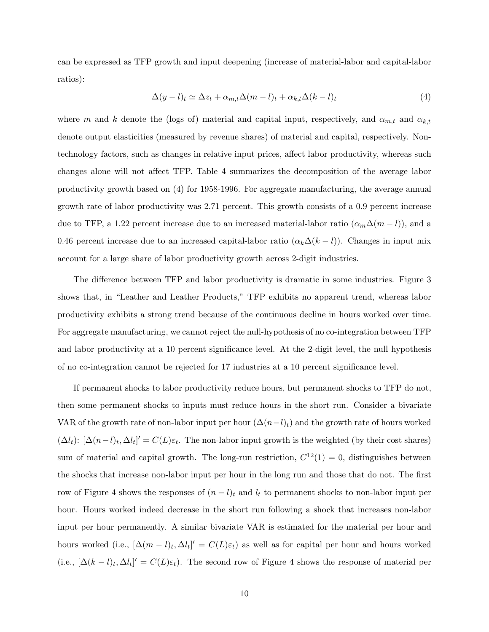can be expressed as TFP growth and input deepening (increase of material-labor and capital-labor ratios):

$$
\Delta(y-l)_t \simeq \Delta z_t + \alpha_{m,t} \Delta(m-l)_t + \alpha_{k,t} \Delta(k-l)_t \tag{4}
$$

where m and k denote the (logs of) material and capital input, respectively, and  $\alpha_{m,t}$  and  $\alpha_{k,t}$ denote output elasticities (measured by revenue shares) of material and capital, respectively. Nontechnology factors, such as changes in relative input prices, affect labor productivity, whereas such changes alone will not affect TFP. Table 4 summarizes the decomposition of the average labor productivity growth based on (4) for 1958-1996. For aggregate manufacturing, the average annual growth rate of labor productivity was 2.71 percent. This growth consists of a 0.9 percent increase due to TFP, a 1.22 percent increase due to an increased material-labor ratio  $(\alpha_m\Delta(m-l))$ , and a 0.46 percent increase due to an increased capital-labor ratio  $(\alpha_k \Delta(k-l))$ . Changes in input mix account for a large share of labor productivity growth across 2-digit industries.

The difference between TFP and labor productivity is dramatic in some industries. Figure 3 shows that, in "Leather and Leather Products," TFP exhibits no apparent trend, whereas labor productivity exhibits a strong trend because of the continuous decline in hours worked over time. For aggregate manufacturing, we cannot reject the null-hypothesis of no co-integration between TFP and labor productivity at a 10 percent significance level. At the 2-digit level, the null hypothesis of no co-integration cannot be rejected for 17 industries at a 10 percent significance level.

If permanent shocks to labor productivity reduce hours, but permanent shocks to TFP do not, then some permanent shocks to inputs must reduce hours in the short run. Consider a bivariate VAR of the growth rate of non-labor input per hour  $(\Delta(n-l)_t)$  and the growth rate of hours worked  $(\Delta l_t): [\Delta (n-l)_t, \Delta l_t]' = C(L)\varepsilon_t$ . The non-labor input growth is the weighted (by their cost shares) sum of material and capital growth. The long-run restriction,  $C^{12}(1) = 0$ , distinguishes between the shocks that increase non-labor input per hour in the long run and those that do not. The first row of Figure 4 shows the responses of  $(n - l)<sub>t</sub>$  and  $l<sub>t</sub>$  to permanent shocks to non-labor input per hour. Hours worked indeed decrease in the short run following a shock that increases non-labor input per hour permanently. A similar bivariate VAR is estimated for the material per hour and hours worked (i.e.,  $[\Delta(m-l)_t, \Delta l_t]' = C(L)\varepsilon_t$ ) as well as for capital per hour and hours worked (i.e.,  $[\Delta(k-l)_t, \Delta l_t]' = C(L)\varepsilon_t$ ). The second row of Figure 4 shows the response of material per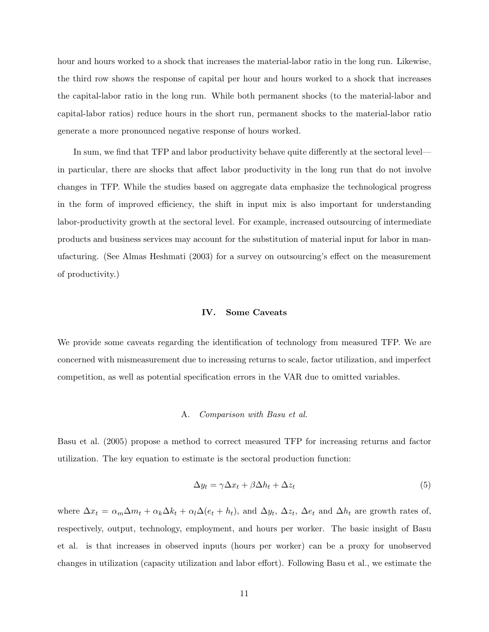hour and hours worked to a shock that increases the material-labor ratio in the long run. Likewise, the third row shows the response of capital per hour and hours worked to a shock that increases the capital-labor ratio in the long run. While both permanent shocks (to the material-labor and capital-labor ratios) reduce hours in the short run, permanent shocks to the material-labor ratio generate a more pronounced negative response of hours worked.

In sum, we find that TFP and labor productivity behave quite differently at the sectoral level in particular, there are shocks that affect labor productivity in the long run that do not involve changes in TFP. While the studies based on aggregate data emphasize the technological progress in the form of improved efficiency, the shift in input mix is also important for understanding labor-productivity growth at the sectoral level. For example, increased outsourcing of intermediate products and business services may account for the substitution of material input for labor in manufacturing. (See Almas Heshmati (2003) for a survey on outsourcing's effect on the measurement of productivity.)

### IV. Some Caveats

We provide some caveats regarding the identification of technology from measured TFP. We are concerned with mismeasurement due to increasing returns to scale, factor utilization, and imperfect competition, as well as potential specification errors in the VAR due to omitted variables.

#### A. Comparison with Basu et al.

Basu et al. (2005) propose a method to correct measured TFP for increasing returns and factor utilization. The key equation to estimate is the sectoral production function:

$$
\Delta y_t = \gamma \Delta x_t + \beta \Delta h_t + \Delta z_t \tag{5}
$$

where  $\Delta x_t = \alpha_m \Delta m_t + \alpha_k \Delta k_t + \alpha_l \Delta (e_t + h_t)$ , and  $\Delta y_t$ ,  $\Delta z_t$ ,  $\Delta e_t$  and  $\Delta h_t$  are growth rates of, respectively, output, technology, employment, and hours per worker. The basic insight of Basu et al. is that increases in observed inputs (hours per worker) can be a proxy for unobserved changes in utilization (capacity utilization and labor effort). Following Basu et al., we estimate the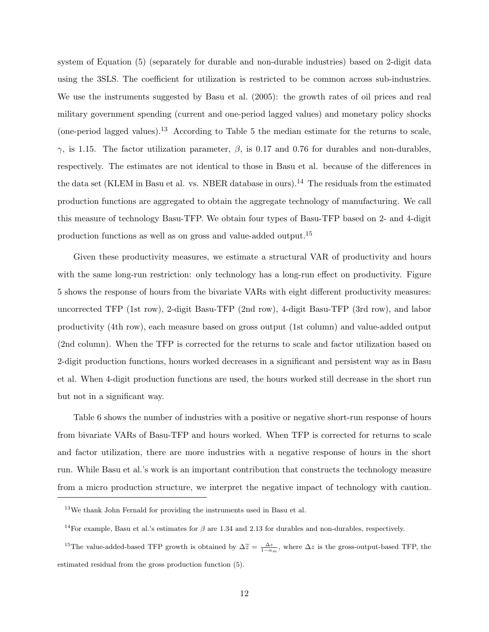system of Equation (5) (separately for durable and non-durable industries) based on 2-digit data using the 3SLS. The coefficient for utilization is restricted to be common across sub-industries. We use the instruments suggested by Basu et al. (2005): the growth rates of oil prices and real military government spending (current and one-period lagged values) and monetary policy shocks (one-period lagged values).<sup>13</sup> According to Table 5 the median estimate for the returns to scale,  $γ$ , is 1.15. The factor utilization parameter,  $β$ , is 0.17 and 0.76 for durables and non-durables, respectively. The estimates are not identical to those in Basu et al. because of the differences in the data set (KLEM in Basu et al. vs. NBER database in ours).<sup>14</sup> The residuals from the estimated production functions are aggregated to obtain the aggregate technology of manufacturing. We call this measure of technology Basu-TFP. We obtain four types of Basu-TFP based on 2- and 4-digit production functions as well as on gross and value-added output.<sup>15</sup>

Given these productivity measures, we estimate a structural VAR of productivity and hours with the same long-run restriction: only technology has a long-run effect on productivity. Figure 5 shows the response of hours from the bivariate VARs with eight different productivity measures: uncorrected TFP (1st row), 2-digit Basu-TFP (2nd row), 4-digit Basu-TFP (3rd row), and labor productivity (4th row), each measure based on gross output (1st column) and value-added output (2nd column). When the TFP is corrected for the returns to scale and factor utilization based on 2-digit production functions, hours worked decreases in a significant and persistent way as in Basu et al. When 4-digit production functions are used, the hours worked still decrease in the short run but not in a significant way.

Table 6 shows the number of industries with a positive or negative short-run response of hours from bivariate VARs of Basu-TFP and hours worked. When TFP is corrected for returns to scale and factor utilization, there are more industries with a negative response of hours in the short run. While Basu et al.'s work is an important contribution that constructs the technology measure from a micro production structure, we interpret the negative impact of technology with caution.

 $13$ We thank John Fernald for providing the instruments used in Basu et al.

<sup>&</sup>lt;sup>14</sup>For example, Basu et al.'s estimates for  $\beta$  are 1.34 and 2.13 for durables and non-durables, respectively.

<sup>&</sup>lt;sup>15</sup>The value-added-based TFP growth is obtained by  $\Delta \tilde{z} = \frac{\Delta z}{1-\alpha_m}$ , where  $\Delta z$  is the gross-output-based TFP, the estimated residual from the gross production function (5).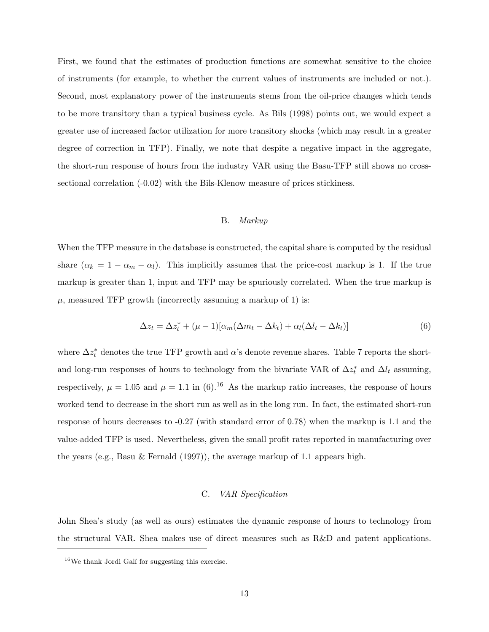First, we found that the estimates of production functions are somewhat sensitive to the choice of instruments (for example, to whether the current values of instruments are included or not.). Second, most explanatory power of the instruments stems from the oil-price changes which tends to be more transitory than a typical business cycle. As Bils (1998) points out, we would expect a greater use of increased factor utilization for more transitory shocks (which may result in a greater degree of correction in TFP). Finally, we note that despite a negative impact in the aggregate, the short-run response of hours from the industry VAR using the Basu-TFP still shows no crosssectional correlation (-0.02) with the Bils-Klenow measure of prices stickiness.

#### B. Markup

When the TFP measure in the database is constructed, the capital share is computed by the residual share  $(\alpha_k = 1 - \alpha_m - \alpha_l)$ . This implicitly assumes that the price-cost markup is 1. If the true markup is greater than 1, input and TFP may be spuriously correlated. When the true markup is  $\mu$ , measured TFP growth (incorrectly assuming a markup of 1) is:

$$
\Delta z_t = \Delta z_t^* + (\mu - 1)[\alpha_m(\Delta m_t - \Delta k_t) + \alpha_l(\Delta l_t - \Delta k_t)]
$$
\n(6)

where  $\Delta z_t^*$  denotes the true TFP growth and  $\alpha$ 's denote revenue shares. Table 7 reports the shortand long-run responses of hours to technology from the bivariate VAR of  $\Delta z_t^*$  and  $\Delta l_t$  assuming, respectively,  $\mu = 1.05$  and  $\mu = 1.1$  in (6).<sup>16</sup> As the markup ratio increases, the response of hours worked tend to decrease in the short run as well as in the long run. In fact, the estimated short-run response of hours decreases to -0.27 (with standard error of 0.78) when the markup is 1.1 and the value-added TFP is used. Nevertheless, given the small profit rates reported in manufacturing over the years (e.g., Basu & Fernald (1997)), the average markup of 1.1 appears high.

#### C. VAR Specification

John Shea's study (as well as ours) estimates the dynamic response of hours to technology from the structural VAR. Shea makes use of direct measures such as R&D and patent applications.

 $16$ We thank Jordi Galí for suggesting this exercise.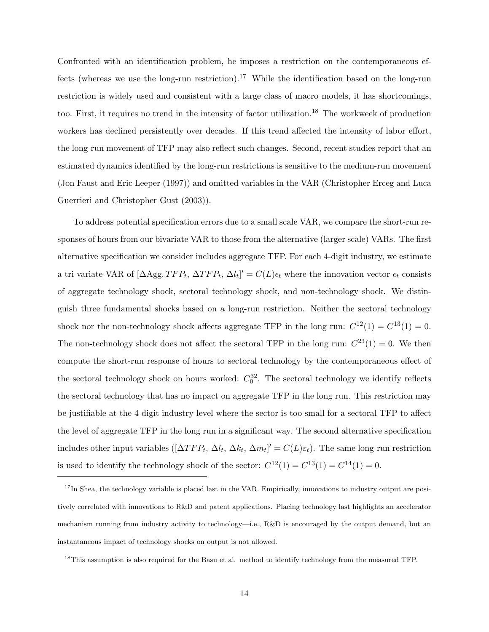Confronted with an identification problem, he imposes a restriction on the contemporaneous effects (whereas we use the long-run restriction).<sup>17</sup> While the identification based on the long-run restriction is widely used and consistent with a large class of macro models, it has shortcomings, too. First, it requires no trend in the intensity of factor utilization.<sup>18</sup> The workweek of production workers has declined persistently over decades. If this trend affected the intensity of labor effort, the long-run movement of TFP may also reflect such changes. Second, recent studies report that an estimated dynamics identified by the long-run restrictions is sensitive to the medium-run movement (Jon Faust and Eric Leeper (1997)) and omitted variables in the VAR (Christopher Erceg and Luca Guerrieri and Christopher Gust (2003)).

To address potential specification errors due to a small scale VAR, we compare the short-run responses of hours from our bivariate VAR to those from the alternative (larger scale) VARs. The first alternative specification we consider includes aggregate TFP. For each 4-digit industry, we estimate a tri-variate VAR of [ $\Delta$ Agg.  $TFP_t$ ,  $\Delta TFP_t$ ,  $\Delta l_t$ ]' =  $C(L)\epsilon_t$  where the innovation vector  $\epsilon_t$  consists of aggregate technology shock, sectoral technology shock, and non-technology shock. We distinguish three fundamental shocks based on a long-run restriction. Neither the sectoral technology shock nor the non-technology shock affects aggregate TFP in the long run:  $C^{12}(1) = C^{13}(1) = 0$ . The non-technology shock does not affect the sectoral TFP in the long run:  $C^{23}(1) = 0$ . We then compute the short-run response of hours to sectoral technology by the contemporaneous effect of the sectoral technology shock on hours worked:  $C_0^{32}$ . The sectoral technology we identify reflects the sectoral technology that has no impact on aggregate TFP in the long run. This restriction may be justifiable at the 4-digit industry level where the sector is too small for a sectoral TFP to affect the level of aggregate TFP in the long run in a significant way. The second alternative specification includes other input variables  $([\Delta TFP_t, \Delta l_t, \Delta k_t, \Delta m_t]' = C(L)\varepsilon_t)$ . The same long-run restriction is used to identify the technology shock of the sector:  $C^{12}(1) = C^{13}(1) = C^{14}(1) = 0$ .

 $18$ This assumption is also required for the Basu et al. method to identify technology from the measured TFP.

 $17$ In Shea, the technology variable is placed last in the VAR. Empirically, innovations to industry output are positively correlated with innovations to R&D and patent applications. Placing technology last highlights an accelerator mechanism running from industry activity to technology—i.e., R&D is encouraged by the output demand, but an instantaneous impact of technology shocks on output is not allowed.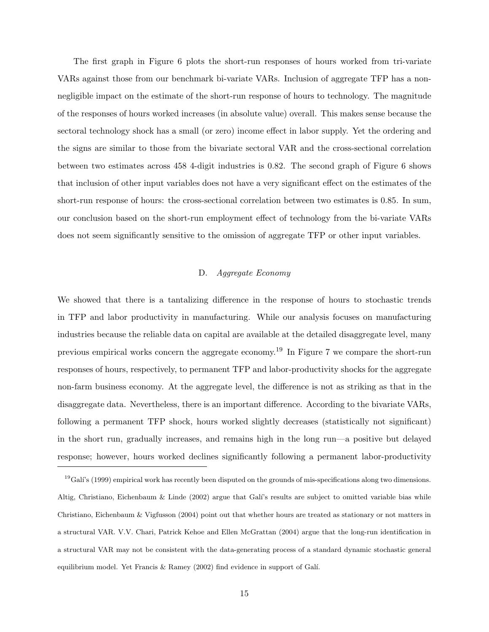The first graph in Figure 6 plots the short-run responses of hours worked from tri-variate VARs against those from our benchmark bi-variate VARs. Inclusion of aggregate TFP has a nonnegligible impact on the estimate of the short-run response of hours to technology. The magnitude of the responses of hours worked increases (in absolute value) overall. This makes sense because the sectoral technology shock has a small (or zero) income effect in labor supply. Yet the ordering and the signs are similar to those from the bivariate sectoral VAR and the cross-sectional correlation between two estimates across 458 4-digit industries is 0.82. The second graph of Figure 6 shows that inclusion of other input variables does not have a very significant effect on the estimates of the short-run response of hours: the cross-sectional correlation between two estimates is 0.85. In sum, our conclusion based on the short-run employment effect of technology from the bi-variate VARs does not seem significantly sensitive to the omission of aggregate TFP or other input variables.

#### D. Aggregate Economy

We showed that there is a tantalizing difference in the response of hours to stochastic trends in TFP and labor productivity in manufacturing. While our analysis focuses on manufacturing industries because the reliable data on capital are available at the detailed disaggregate level, many previous empirical works concern the aggregate economy.<sup>19</sup> In Figure 7 we compare the short-run responses of hours, respectively, to permanent TFP and labor-productivity shocks for the aggregate non-farm business economy. At the aggregate level, the difference is not as striking as that in the disaggregate data. Nevertheless, there is an important difference. According to the bivariate VARs, following a permanent TFP shock, hours worked slightly decreases (statistically not significant) in the short run, gradually increases, and remains high in the long run—a positive but delayed response; however, hours worked declines significantly following a permanent labor-productivity

 $^{19}$ Galí's (1999) empirical work has recently been disputed on the grounds of mis-specifications along two dimensions. Altig, Christiano, Eichenbaum & Linde (2002) argue that Galí's results are subject to omitted variable bias while Christiano, Eichenbaum & Vigfusson (2004) point out that whether hours are treated as stationary or not matters in a structural VAR. V.V. Chari, Patrick Kehoe and Ellen McGrattan (2004) argue that the long-run identification in a structural VAR may not be consistent with the data-generating process of a standard dynamic stochastic general equilibrium model. Yet Francis & Ramey (2002) find evidence in support of Gal´ı.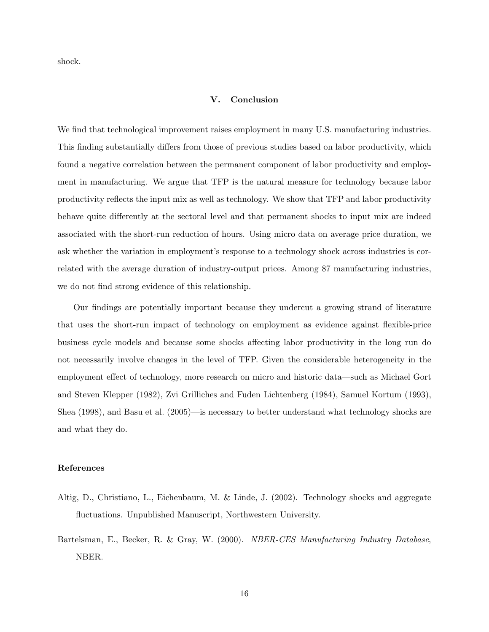shock.

# V. Conclusion

We find that technological improvement raises employment in many U.S. manufacturing industries. This finding substantially differs from those of previous studies based on labor productivity, which found a negative correlation between the permanent component of labor productivity and employment in manufacturing. We argue that TFP is the natural measure for technology because labor productivity reflects the input mix as well as technology. We show that TFP and labor productivity behave quite differently at the sectoral level and that permanent shocks to input mix are indeed associated with the short-run reduction of hours. Using micro data on average price duration, we ask whether the variation in employment's response to a technology shock across industries is correlated with the average duration of industry-output prices. Among 87 manufacturing industries, we do not find strong evidence of this relationship.

Our findings are potentially important because they undercut a growing strand of literature that uses the short-run impact of technology on employment as evidence against flexible-price business cycle models and because some shocks affecting labor productivity in the long run do not necessarily involve changes in the level of TFP. Given the considerable heterogeneity in the employment effect of technology, more research on micro and historic data—such as Michael Gort and Steven Klepper (1982), Zvi Grilliches and Fuden Lichtenberg (1984), Samuel Kortum (1993), Shea (1998), and Basu et al. (2005)—is necessary to better understand what technology shocks are and what they do.

#### References

- Altig, D., Christiano, L., Eichenbaum, M. & Linde, J. (2002). Technology shocks and aggregate fluctuations. Unpublished Manuscript, Northwestern University.
- Bartelsman, E., Becker, R. & Gray, W. (2000). NBER-CES Manufacturing Industry Database, NBER.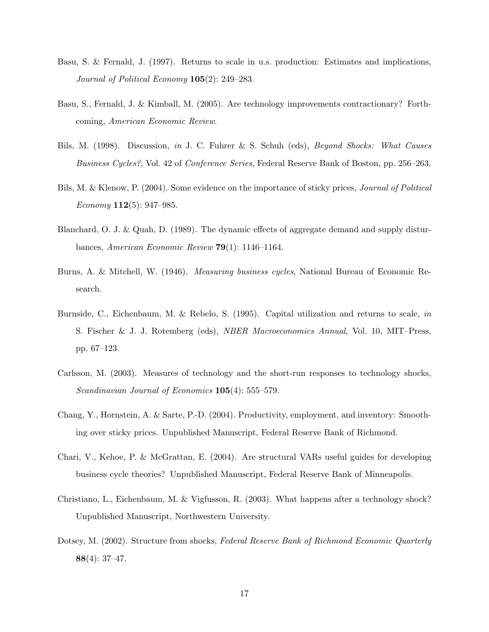- Basu, S. & Fernald, J. (1997). Returns to scale in u.s. production: Estimates and implications, Journal of Political Economy 105(2): 249–283.
- Basu, S., Fernald, J. & Kimball, M. (2005). Are technology improvements contractionary? Forthcoming, American Economic Review.
- Bils, M. (1998). Discussion, in J. C. Fuhrer & S. Schuh (eds), Beyond Shocks: What Causes Business Cycles?, Vol. 42 of Conference Series, Federal Reserve Bank of Boston, pp. 256–263.
- Bils, M. & Klenow, P. (2004). Some evidence on the importance of sticky prices, Journal of Political *Economy* **112**(5): 947–985.
- Blanchard, O. J. & Quah, D. (1989). The dynamic effects of aggregate demand and supply disturbances, American Economic Review 79(1): 1146–1164.
- Burns, A. & Mitchell, W. (1946). Measuring business cycles, National Bureau of Economic Research.
- Burnside, C., Eichenbaum, M. & Rebelo, S. (1995). Capital utilization and returns to scale, in S. Fischer & J. J. Rotemberg (eds), NBER Macroeconomics Annual, Vol. 10, MIT–Press, pp. 67–123.
- Carlsson, M. (2003). Measures of technology and the short-run responses to technology shocks, Scandinavian Journal of Economics **105**(4): 555–579.
- Chang, Y., Hornstein, A. & Sarte, P.-D. (2004). Productivity, employment, and inventory: Smoothing over sticky prices. Unpublished Manuscript, Federal Reserve Bank of Richmond.
- Chari, V., Kehoe, P. & McGrattan, E. (2004). Are structural VARs useful guides for developing business cycle theories? Unpublished Manuscript, Federal Reserve Bank of Minneapolis.
- Christiano, L., Eichenbaum, M. & Vigfusson, R. (2003). What happens after a technology shock? Unpublished Manuscript, Northwestern University.
- Dotsey, M. (2002). Structure from shocks, Federal Reserve Bank of Richmond Economic Quarterly 88(4): 37–47.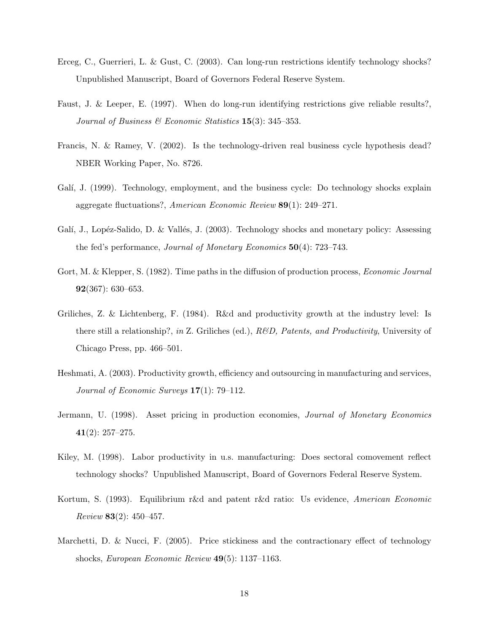- Erceg, C., Guerrieri, L. & Gust, C. (2003). Can long-run restrictions identify technology shocks? Unpublished Manuscript, Board of Governors Federal Reserve System.
- Faust, J. & Leeper, E. (1997). When do long-run identifying restrictions give reliable results?, Journal of Business & Economic Statistics  $15(3)$ : 345-353.
- Francis, N. & Ramey, V. (2002). Is the technology-driven real business cycle hypothesis dead? NBER Working Paper, No. 8726.
- Galí, J. (1999). Technology, employment, and the business cycle: Do technology shocks explain aggregate fluctuations?, American Economic Review 89(1): 249–271.
- Galí, J., Lopéz-Salido, D. & Vallés, J. (2003). Technology shocks and monetary policy: Assessing the fed's performance, *Journal of Monetary Economics*  $50(4)$ : 723–743.
- Gort, M. & Klepper, S. (1982). Time paths in the diffusion of production process, *Economic Journal* 92(367): 630–653.
- Griliches, Z. & Lichtenberg, F. (1984). R&d and productivity growth at the industry level: Is there still a relationship?, in Z. Griliches (ed.),  $R\&D$ , Patents, and Productivity, University of Chicago Press, pp. 466–501.
- Heshmati, A. (2003). Productivity growth, efficiency and outsourcing in manufacturing and services, Journal of Economic Surveys  $17(1)$ : 79-112.
- Jermann, U. (1998). Asset pricing in production economies, *Journal of Monetary Economics* 41(2): 257–275.
- Kiley, M. (1998). Labor productivity in u.s. manufacturing: Does sectoral comovement reflect technology shocks? Unpublished Manuscript, Board of Governors Federal Reserve System.
- Kortum, S. (1993). Equilibrium r&d and patent r&d ratio: Us evidence, American Economic *Review* **83** $(2)$ : 450–457.
- Marchetti, D. & Nucci, F. (2005). Price stickiness and the contractionary effect of technology shocks, European Economic Review 49(5): 1137–1163.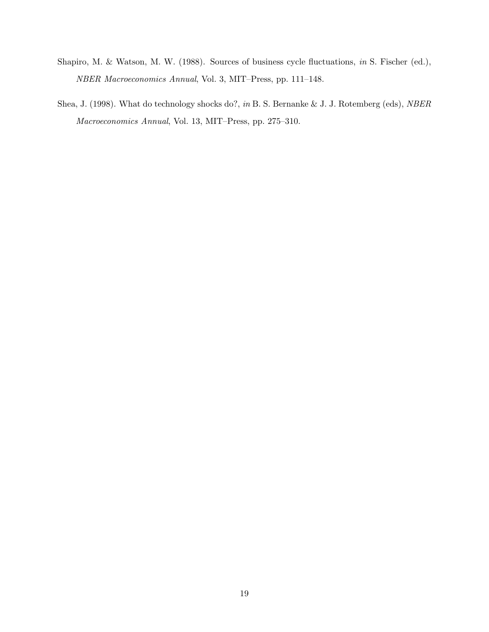- Shapiro, M. & Watson, M. W. (1988). Sources of business cycle fluctuations, in S. Fischer (ed.), NBER Macroeconomics Annual, Vol. 3, MIT–Press, pp. 111–148.
- Shea, J. (1998). What do technology shocks do?, in B. S. Bernanke & J. J. Rotemberg (eds), NBER Macroeconomics Annual, Vol. 13, MIT–Press, pp. 275–310.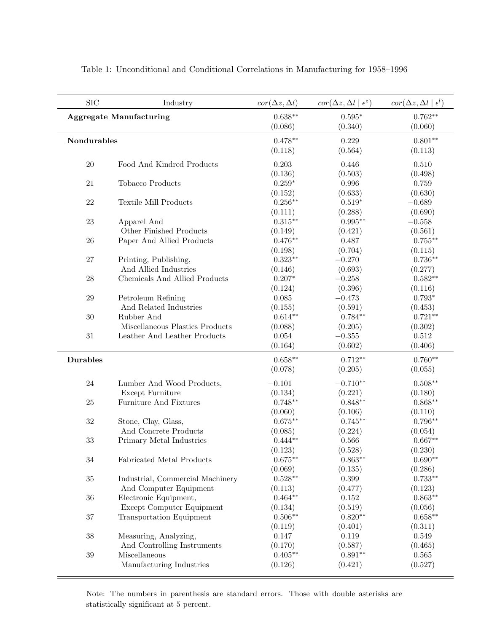| <b>SIC</b>      | Industry                         | $cor(\Delta z, \Delta l)$ | $cor(\Delta z, \Delta l \mid \epsilon^z)$ | $cor(\Delta z, \Delta l \mid \epsilon^l)$ |
|-----------------|----------------------------------|---------------------------|-------------------------------------------|-------------------------------------------|
|                 | <b>Aggregate Manufacturing</b>   | $0.638**$<br>(0.086)      | $0.595*$<br>(0.340)                       | $0.762**$<br>(0.060)                      |
| Nondurables     |                                  | $0.478**$                 | 0.229                                     | $0.801**$                                 |
|                 |                                  | (0.118)                   | (0.564)                                   | (0.113)                                   |
| 20              | Food And Kindred Products        | 0.203                     | 0.446                                     | 0.510                                     |
|                 |                                  | (0.136)                   | (0.503)                                   | (0.498)                                   |
| 21              | Tobacco Products                 | $0.259*$                  | 0.996                                     | 0.759                                     |
|                 |                                  | (0.152)                   | (0.633)                                   | (0.630)                                   |
| 22              | <b>Textile Mill Products</b>     | $0.256**$                 | $0.519*$                                  | $-0.689$                                  |
|                 |                                  | (0.111)                   | (0.288)                                   | (0.690)                                   |
| 23              | Apparel And                      | $0.315**$                 | $0.995**$                                 | $-0.558$                                  |
|                 | Other Finished Products          | (0.149)                   | (0.421)                                   | (0.561)                                   |
| 26              | Paper And Allied Products        | $0.476**$                 | 0.487                                     | $0.755***$                                |
|                 |                                  | (0.198)                   | (0.704)                                   | (0.115)                                   |
| 27              | Printing, Publishing,            | $0.323**$                 | $-0.270$                                  | $0.736**$                                 |
|                 | And Allied Industries            | (0.146)                   | (0.693)                                   | (0.277)                                   |
| ${\bf 28}$      | Chemicals And Allied Products    | $0.207*$                  | $-0.258$                                  | $0.582**$                                 |
|                 |                                  | (0.124)                   | (0.396)                                   | (0.116)                                   |
| $\,29$          | Petroleum Refining               | 0.085                     | $-0.473$                                  | $0.793*$                                  |
|                 | And Related Industries           | (0.155)                   | (0.591)                                   | (0.453)                                   |
| 30              | Rubber And                       | $0.614**$                 | $0.784**$                                 | $0.721**$                                 |
|                 | Miscellaneous Plastics Products  | (0.088)                   | (0.205)                                   | (0.302)                                   |
| $31\,$          | Leather And Leather Products     | 0.054                     | $-0.355$                                  | 0.512                                     |
|                 |                                  | (0.164)                   | (0.602)                                   | (0.406)                                   |
| <b>Durables</b> |                                  | $0.658**$                 | $0.712**$                                 | $0.760**$                                 |
|                 |                                  | (0.078)                   | (0.205)                                   | (0.055)                                   |
| 24              | Lumber And Wood Products,        | $-0.101$                  | $-0.710**$                                | $0.508**$                                 |
|                 | Except Furniture                 | (0.134)                   | (0.221)                                   | (0.180)                                   |
| 25              | Furniture And Fixtures           | $0.748**$                 | $0.848**$                                 | $0.868**$                                 |
|                 |                                  | (0.060)                   | (0.106)                                   | (0.110)                                   |
| $32\,$          | Stone, Clay, Glass,              | $0.675**$                 | $0.745**$                                 | $0.796**$                                 |
|                 | And Concrete Products            | (0.085)                   | (0.224)                                   | (0.054)                                   |
| 33              | Primary Metal Industries         | $0.444**$                 | 0.566                                     | $0.667**$                                 |
|                 |                                  | (0.123)                   | (0.528)                                   | (0.230)                                   |
| 34              | <b>Fabricated Metal Products</b> | $0.675**$                 | $0.863**$                                 | $0.690**$                                 |
|                 |                                  | (0.069)                   | (0.135)                                   | (0.286)                                   |
| $35\,$          | Industrial, Commercial Machinery | $0.528**$                 | $0.399\,$                                 | $0.733**$                                 |
|                 | And Computer Equipment           | (0.113)                   | (0.477)                                   | (0.123)                                   |
| 36              | Electronic Equipment,            | $0.464**$                 | 0.152                                     | $0.863**$                                 |
|                 | Except Computer Equipment        | (0.134)                   | (0.519)                                   | (0.056)                                   |
| 37              | <b>Transportation Equipment</b>  | $0.506**$                 | $0.820**$                                 | $0.658**$                                 |
|                 |                                  | (0.119)                   | (0.401)                                   | (0.311)                                   |
| $38\,$          | Measuring, Analyzing,            | 0.147                     | 0.119                                     | $\,0.549\,$                               |
|                 | And Controlling Instruments      | (0.170)                   | (0.587)                                   | (0.465)                                   |
| $39\,$          | Miscellaneous                    | $0.405**$                 | $0.891**$                                 | $0.565\,$                                 |
|                 | Manufacturing Industries         | (0.126)                   | (0.421)                                   | (0.527)                                   |

Table 1: Unconditional and Conditional Correlations in Manufacturing for 1958–1996

Note: The numbers in parenthesis are standard errors. Those with double asterisks are statistically significant at 5 percent.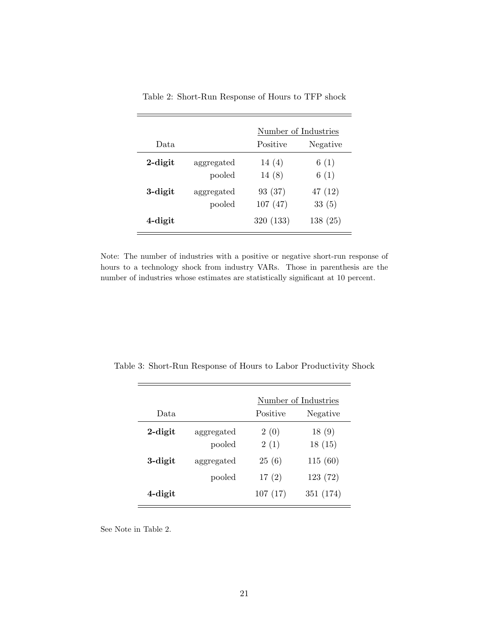|            |                      | Number of Industries |                 |  |
|------------|----------------------|----------------------|-----------------|--|
| Data.      |                      | Positive             | Negative        |  |
| $2$ -digit | aggregated<br>pooled | 14(4)<br>14(8)       | 6(1)<br>6(1)    |  |
| 3-digit    | aggregated<br>pooled | 93 (37)<br>107(47)   | 47(12)<br>33(5) |  |
| 4-digit    |                      | 320 (133)            | 138(25)         |  |

Table 2: Short-Run Response of Hours to TFP shock

Note: The number of industries with a positive or negative short-run response of hours to a technology shock from industry VARs. Those in parenthesis are the number of industries whose estimates are statistically significant at 10 percent.

|            |                      | Number of Industries |                 |  |
|------------|----------------------|----------------------|-----------------|--|
| Data.      |                      | Positive             | Negative        |  |
| $2$ -digit | aggregated<br>pooled | 2(0)<br>2(1)         | 18(9)<br>18(15) |  |
| 3-digit    | aggregated           | 25(6)                | 115(60)         |  |
|            | pooled               | 17(2)                | 123(72)         |  |
| 4-digit    |                      | 107(17)              | 351 (174)       |  |

Table 3: Short-Run Response of Hours to Labor Productivity Shock

See Note in Table 2.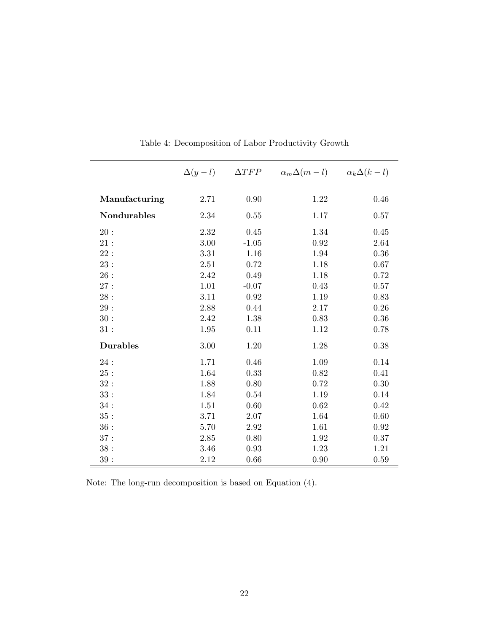|                    | $\Delta(y-l)$ | $\Delta TFP$ | $\alpha_m \Delta(m-l) \qquad \alpha_k \Delta(k-l)$ |      |
|--------------------|---------------|--------------|----------------------------------------------------|------|
| Manufacturing      | 2.71          | 0.90         | 1.22                                               | 0.46 |
| <b>Nondurables</b> | 2.34          | 0.55         | 1.17                                               | 0.57 |
| 20:                | 2.32          | 0.45         | 1.34                                               | 0.45 |
| 21:                | 3.00          | $-1.05$      | 0.92                                               | 2.64 |
| 22:                | 3.31          | 1.16         | 1.94                                               | 0.36 |
| 23:                | 2.51          | 0.72         | 1.18                                               | 0.67 |
| 26:                | 2.42          | 0.49         | 1.18                                               | 0.72 |
| 27:                | 1.01          | $-0.07$      | 0.43                                               | 0.57 |
| $28:$              | 3.11          | $\rm 0.92$   | 1.19                                               | 0.83 |
| $29:$              | 2.88          | 0.44         | 2.17                                               | 0.26 |
| 30:                | 2.42          | 1.38         | 0.83                                               | 0.36 |
| 31:                | 1.95          | 0.11         | 1.12                                               | 0.78 |
| <b>Durables</b>    | 3.00          | 1.20         | 1.28                                               | 0.38 |
| 24:                | 1.71          | 0.46         | 1.09                                               | 0.14 |
| 25:                | 1.64          | 0.33         | 0.82                                               | 0.41 |
| 32:                | 1.88          | 0.80         | 0.72                                               | 0.30 |
| 33:                | 1.84          | 0.54         | 1.19                                               | 0.14 |
| 34:                | 1.51          | 0.60         | 0.62                                               | 0.42 |
| 35:                | 3.71          | 2.07         | 1.64                                               | 0.60 |
| 36:                | 5.70          | 2.92         | 1.61                                               | 0.92 |
| 37:                | 2.85          | 0.80         | 1.92                                               | 0.37 |
| 38:                | 3.46          | 0.93         | 1.23                                               | 1.21 |
| $39:$              | 2.12          | 0.66         | 0.90                                               | 0.59 |

Table 4: Decomposition of Labor Productivity Growth

Note: The long-run decomposition is based on Equation (4).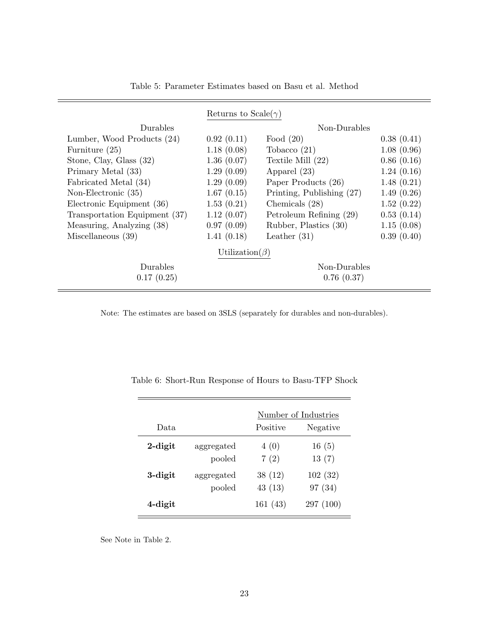|                               | Returns to Scale( $\gamma$ ) |                           |            |  |
|-------------------------------|------------------------------|---------------------------|------------|--|
| Durables                      | Non-Durables                 |                           |            |  |
| Lumber, Wood Products (24)    | 0.92(0.11)                   | Food $(20)$               | 0.38(0.41) |  |
| Furniture $(25)$              | 1.18(0.08)                   | Tobacco $(21)$            | 1.08(0.96) |  |
| Stone, Clay, Glass (32)       | 1.36(0.07)                   | Textile Mill $(22)$       | 0.86(0.16) |  |
| Primary Metal (33)            | 1.29(0.09)                   | Apparel $(23)$            | 1.24(0.16) |  |
| Fabricated Metal (34)         | 1.29(0.09)                   | Paper Products (26)       | 1.48(0.21) |  |
| Non-Electronic $(35)$         | 1.67(0.15)                   | Printing, Publishing (27) | 1.49(0.26) |  |
| Electronic Equipment (36)     | 1.53(0.21)                   | Chemicals $(28)$          | 1.52(0.22) |  |
| Transportation Equipment (37) | 1.12(0.07)                   | Petroleum Refining (29)   | 0.53(0.14) |  |
| Measuring, Analyzing (38)     | 0.97(0.09)                   | Rubber, Plastics (30)     | 1.15(0.08) |  |
| Miscellaneous $(39)$          | 1.41(0.18)                   | Leather $(31)$            | 0.39(0.40) |  |
| Utilization( $\beta$ )        |                              |                           |            |  |
| Durables                      |                              | Non-Durables              |            |  |
| 0.17(0.25)                    |                              | 0.76(0.37)                |            |  |

Table 5: Parameter Estimates based on Basu et al. Method

Note: The estimates are based on 3SLS (separately for durables and non-durables).

|            |                      | Number of Industries |                    |  |
|------------|----------------------|----------------------|--------------------|--|
| Data       |                      | Positive             | Negative           |  |
| $2$ -digit | aggregated<br>pooled | 4(0)<br>7(2)         | 16(5)<br>13(7)     |  |
| 3-digit    | aggregated<br>pooled | 38(12)<br>43(13)     | 102(32)<br>97 (34) |  |
| 4-digit    |                      | 161(43)              | 297(100)           |  |

Table 6: Short-Run Response of Hours to Basu-TFP Shock

See Note in Table 2.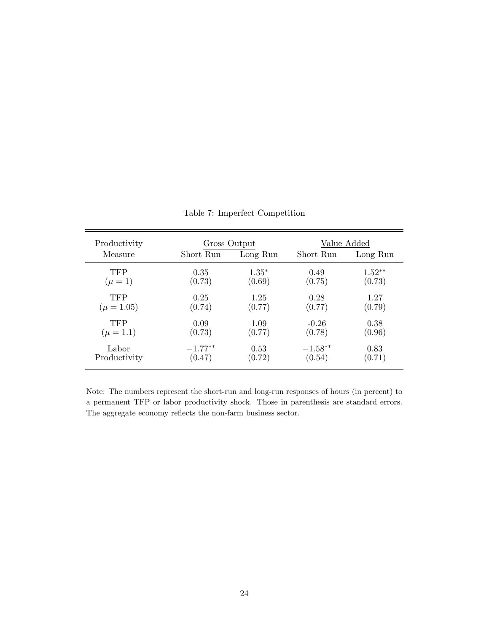| Productivity   | Gross Output |          | Value Added |          |
|----------------|--------------|----------|-------------|----------|
| Measure        | Short Run    | Long Run | Short Run   | Long Run |
| <b>TFP</b>     | 0.35         | $1.35*$  | 0.49        | $1.52**$ |
| $(\mu = 1)$    | (0.73)       | (0.69)   | (0.75)      | (0.73)   |
| <b>TFP</b>     | 0.25         | 1.25     | 0.28        | 1.27     |
| $(\mu = 1.05)$ | (0.74)       | (0.77)   | (0.77)      | (0.79)   |
| <b>TFP</b>     | 0.09         | 1.09     | $-0.26$     | 0.38     |
| $(\mu = 1.1)$  | (0.73)       | (0.77)   | (0.78)      | (0.96)   |
| Labor          | $-1.77**$    | 0.53     | $-1.58***$  | 0.83     |
| Productivity   | (0.47)       | (0.72)   | (0.54)      | (0.71)   |

Table 7: Imperfect Competition

Note: The numbers represent the short-run and long-run responses of hours (in percent) to a permanent TFP or labor productivity shock. Those in parenthesis are standard errors. The aggregate economy reflects the non-farm business sector.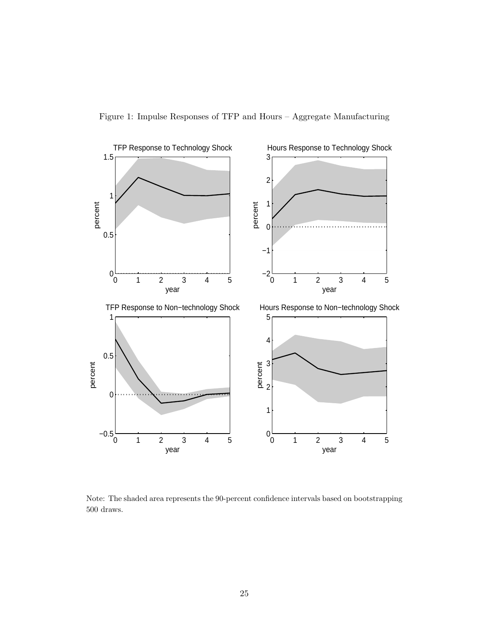

Figure 1: Impulse Responses of TFP and Hours – Aggregate Manufacturing

Note: The shaded area represents the 90-percent confidence intervals based on bootstrapping 500 draws.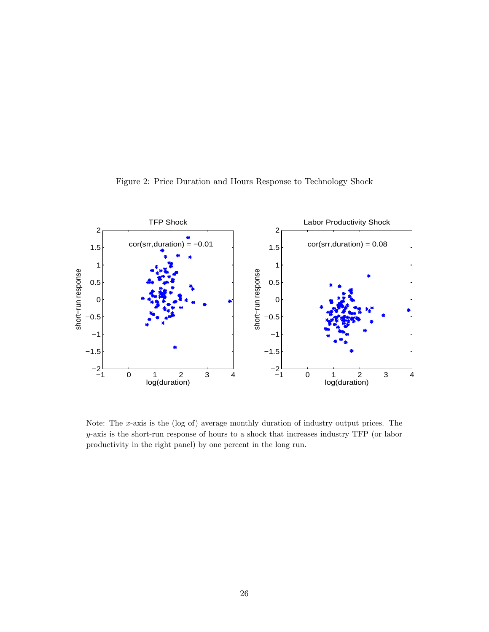

Figure 2: Price Duration and Hours Response to Technology Shock

Note: The x-axis is the  $(\log of)$  average monthly duration of industry output prices. The y-axis is the short-run response of hours to a shock that increases industry TFP (or labor productivity in the right panel) by one percent in the long run.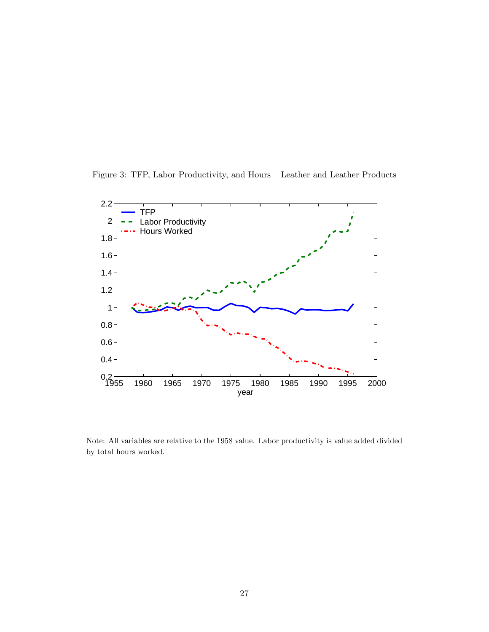Figure 3: TFP, Labor Productivity, and Hours – Leather and Leather Products



Note: All variables are relative to the 1958 value. Labor productivity is value added divided by total hours worked.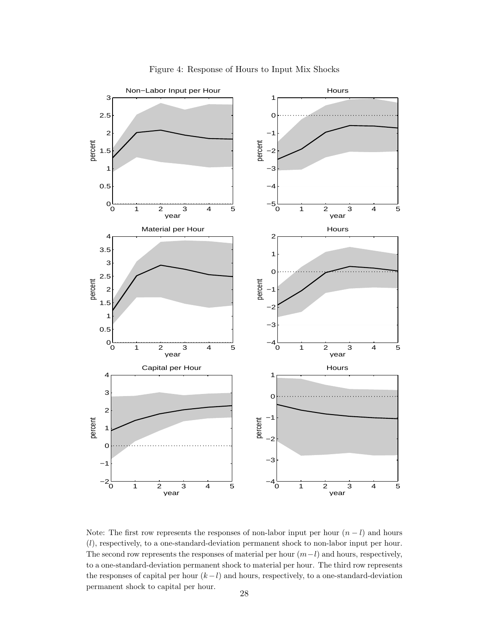

Figure 4: Response of Hours to Input Mix Shocks

Note: The first row represents the responses of non-labor input per hour  $(n - l)$  and hours (l), respectively, to a one-standard-deviation permanent shock to non-labor input per hour. The second row represents the responses of material per hour  $(m-l)$  and hours, respectively, to a one-standard-deviation permanent shock to material per hour. The third row represents the responses of capital per hour  $(k-l)$  and hours, respectively, to a one-standard-deviation permanent shock to capital per hour.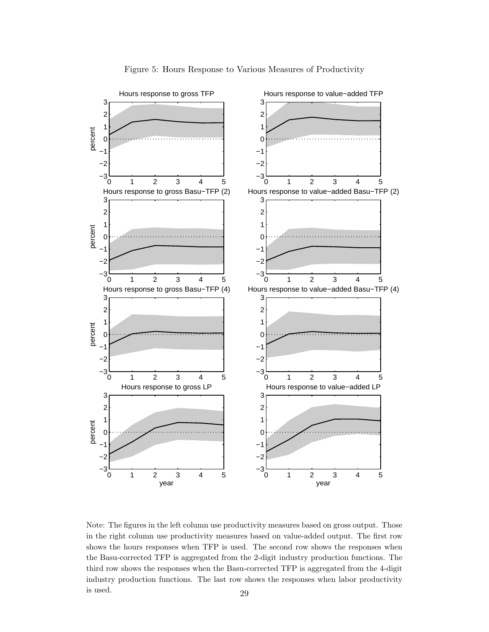

Figure 5: Hours Response to Various Measures of Productivity

Note: The figures in the left column use productivity measures based on gross output. Those in the right column use productivity measures based on value-added output. The first row shows the hours responses when TFP is used. The second row shows the responses when the Basu-corrected TFP is aggregated from the 2-digit industry production functions. The third row shows the responses when the Basu-corrected TFP is aggregated from the 4-digit industry production functions. The last row shows the responses when labor productivity is used.  $29$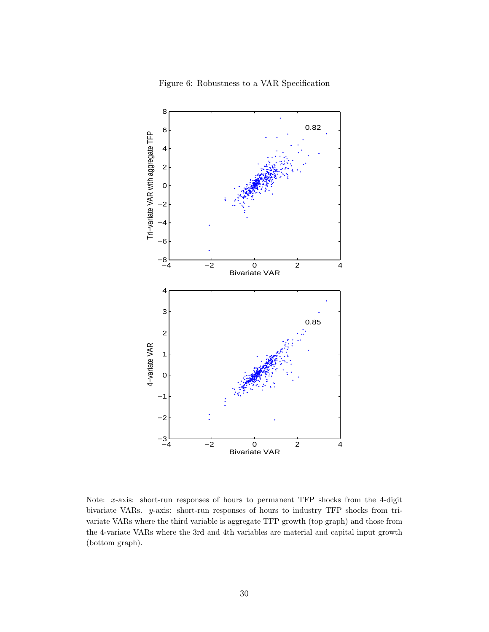

Figure 6: Robustness to a VAR Specification

Note: x-axis: short-run responses of hours to permanent TFP shocks from the 4-digit bivariate VARs. y-axis: short-run responses of hours to industry TFP shocks from trivariate VARs where the third variable is aggregate TFP growth (top graph) and those from the 4-variate VARs where the 3rd and 4th variables are material and capital input growth (bottom graph).